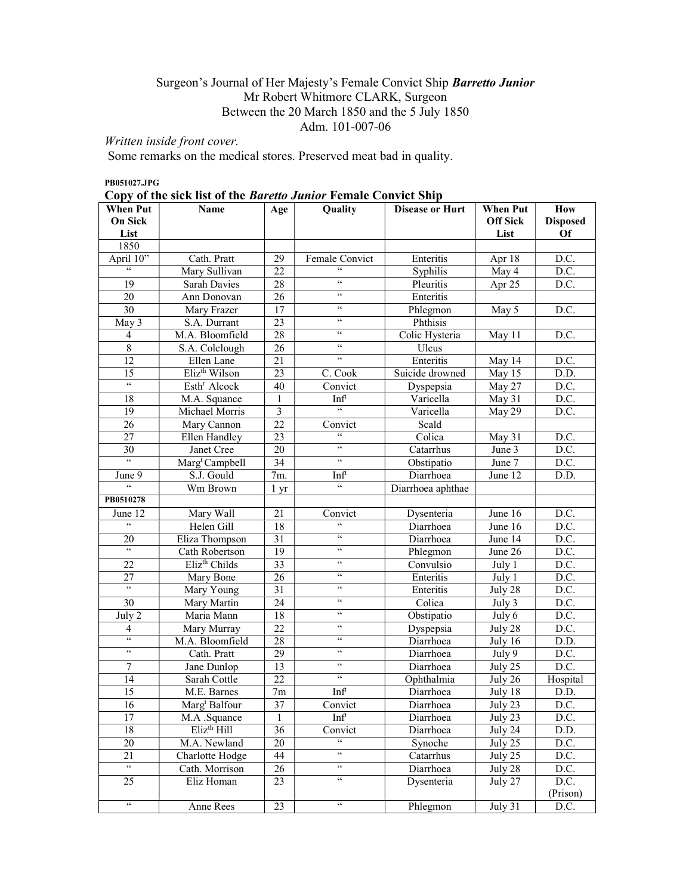# Surgeon's Journal of Her Majesty's Female Convict Ship Barretto Junior Mr Robert Whitmore CLARK, Surgeon Between the 20 March 1850 and the 5 July 1850 Adm. 101-007-06

# Written inside front cover.

Some remarks on the medical stores. Preserved meat bad in quality.

#### PB051027.JPG

| Copy of the sick list of the Baretto Junior Female Convict Ship |
|-----------------------------------------------------------------|
|-----------------------------------------------------------------|

| <b>When Put</b>                        | Name                       | Age                     | Quality                    | <b>Disease or Hurt</b> | <b>When Put</b> | <b>How</b>      |
|----------------------------------------|----------------------------|-------------------------|----------------------------|------------------------|-----------------|-----------------|
| <b>On Sick</b>                         |                            |                         |                            |                        | <b>Off Sick</b> | <b>Disposed</b> |
| List                                   |                            |                         |                            |                        | List            | Of              |
| 1850                                   |                            |                         |                            |                        |                 |                 |
| April 10"                              | Cath. Pratt                | 29                      | Female Convict             | Enteritis              | Apr 18          | D.C.            |
| $\zeta\,\zeta$                         | Mary Sullivan              | 22                      | $\epsilon\epsilon$         | Syphilis               | May 4           | D.C.            |
| 19                                     | Sarah Davies               | 28                      | $\zeta \, \zeta$           | Pleuritis              | Apr 25          | D.C.            |
| 20                                     | Ann Donovan                | 26                      | $\zeta \, \zeta$           | Enteritis              |                 |                 |
| 30                                     | Mary Frazer                | 17                      | $\zeta \, \zeta$           | Phlegmon               | May 5           | D.C.            |
| May 3                                  | S.A. Durrant               | 23                      | $\zeta\,\zeta$             | Phthisis               |                 |                 |
| 4                                      | M.A. Bloomfield            | 28                      | $\zeta \, \zeta$           | Colic Hysteria         | May 11          | D.C.            |
| $\,$ 8 $\,$                            | S.A. Colclough             | 26                      | $\zeta \, \zeta$           | Ulcus                  |                 |                 |
| 12                                     | Ellen Lane                 | 21                      | $\zeta \, \zeta$           | Enteritis              | May 14          | D.C.            |
| 15                                     | Eliz <sup>th</sup> Wilson  | 23                      | C. Cook                    | Suicide drowned        | May 15          | D.D.            |
| $\mathcal{C}$                          | Esth <sup>r</sup> Alcock   | 40                      | Convict                    | Dyspepsia              | May 27          | D.C.            |
| 18                                     | M.A. Squance               | 1                       | Inft                       | Varicella              | May 31          | D.C.            |
| 19                                     | Michael Morris             | $\overline{\mathbf{3}}$ | $\epsilon\epsilon$         | Varicella              | May 29          | D.C.            |
| $\overline{26}$                        | Mary Cannon                | $\overline{22}$         | Convict                    | Scald                  |                 |                 |
| 27                                     | Ellen Handley              | 23                      | $\mathcal{C}$              | Colica                 | May 31          | D.C.            |
| 30                                     | Janet Cree                 | 20                      | $\boldsymbol{\varsigma}$   | Catarrhus              | June $3$        | D.C.            |
| $\boldsymbol{\zeta}\boldsymbol{\zeta}$ | Marg <sup>t</sup> Campbell | $\overline{34}$         | $\boldsymbol{\varsigma}$   | Obstipatio             | June 7          | D.C.            |
| June 9                                 | S.J. Gould                 | 7m.                     | Inft                       | Diarrhoea              | June 12         | D.D.            |
| $\boldsymbol{\varsigma}$               | Wm Brown                   | 1 yr                    | $\boldsymbol{\varsigma}$   | Diarrhoea aphthae      |                 |                 |
| PB0510278                              |                            |                         |                            |                        |                 |                 |
| June 12                                | Mary Wall                  | 21                      | Convict                    | Dysenteria             | June 16         | D.C.            |
| $\epsilon\epsilon$                     | Helen Gill                 | 18                      | $\zeta\,\zeta$             | Diarrhoea              | June 16         | D.C.            |
| 20                                     | Eliza Thompson             | 31                      | $\zeta\,\zeta$             | Diarrhoea              | June 14         | D.C.            |
| $\overline{66}$                        | Cath Robertson             | 19                      | $\zeta\,\zeta$             | Phlegmon               | June 26         | D.C.            |
| 22                                     | Eliz <sup>th</sup> Childs  | 33                      | $\zeta\,\zeta$             | Convulsio              | July 1          | D.C.            |
| 27                                     | Mary Bone                  | 26                      | $\zeta\,\zeta$             | Enteritis              | July 1          | D.C.            |
| $\epsilon\epsilon$                     | Mary Young                 | 31                      | $\zeta \, \zeta$           | Enteritis              | July 28         | D.C.            |
| 30                                     | Mary Martin                | 24                      | $\zeta\,\zeta$             | Colica                 | July 3          | D.C.            |
| July 2                                 | Maria Mann                 | 18                      | $\zeta\,\zeta$             | Obstipatio             | July 6          | D.C.            |
| 4                                      | Mary Murray                | 22                      | $\zeta\,\zeta$             | Dyspepsia              | July 28         | D.C.            |
| $\overline{\mathcal{C}}$               | M.A. Bloomfield            | 28                      | $\zeta\,\zeta$             | Diarrhoea              | July 16         | D.D.            |
| $\zeta \, \zeta$                       | Cath. Pratt                | 29                      | $\zeta \, \zeta$           | Diarrhoea              | July 9          | D.C.            |
| $\overline{7}$                         | Jane Dunlop                | 13                      | $\zeta \, \zeta$           | Diarrhoea              | July 25         | D.C.            |
| 14                                     | Sarah Cottle               | 22                      | $\zeta\,\zeta$             | Ophthalmia             | July 26         | Hospital        |
| 15                                     | M.E. Barnes                | 7m                      | Inft                       | Diarrhoea              | July 18         | D.D.            |
| 16                                     | Marg <sup>t</sup> Balfour  | 37                      | Convict                    | Diarrhoea              | July 23         | D.C.            |
| 17                                     | M.A .Squance               | $\mathbf{1}$            | Inf <sup>t</sup>           | Diarrhoea              | July 23         | D.C.            |
| 18                                     | $E$ liz <sup>th</sup> Hill | 36                      | Convict                    | Diarrhoea              | July 24         | D.D.            |
| 20                                     | M.A. Newland               | 20                      | $\mathfrak{c}\mathfrak{c}$ | Synoche                | July 25         | D.C.            |
| 21                                     | Charlotte Hodge            | 44                      | $\overline{\mathfrak{c}}$  | Catarrhus              | July $25$       | D.C.            |
| $\mathfrak{c}\mathfrak{c}$             | Cath. Morrison             | 26                      | $\overline{\mathfrak{c}}$  | Diarrhoea              | July 28         | D.C.            |
| 25                                     | Eliz Homan                 | 23                      | $\zeta\,\zeta$             | Dysenteria             | July 27         | D.C.            |
|                                        |                            |                         |                            |                        |                 | (Prison)        |
| $\mathsf{cc}$                          | Anne Rees                  | 23                      | $\zeta\,\zeta$             | Phlegmon               | July 31         | D.C.            |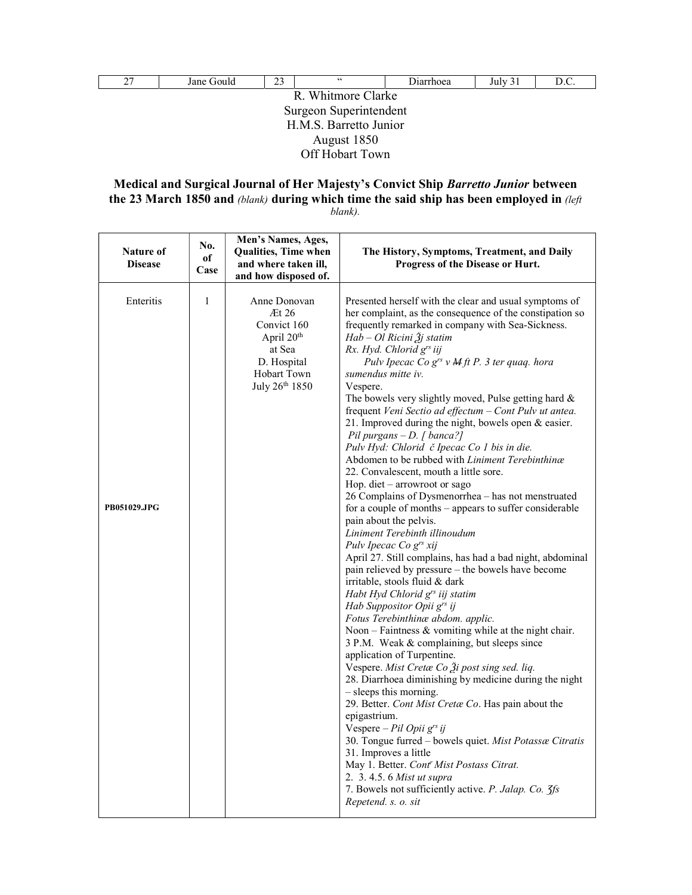| 27                     | Jane Gould      | 23 | 66 | Diarrhoea | July 31 | D.C. |  |  |
|------------------------|-----------------|----|----|-----------|---------|------|--|--|
| R. Whitmore Clarke     |                 |    |    |           |         |      |  |  |
| Surgeon Superintendent |                 |    |    |           |         |      |  |  |
| H.M.S. Barretto Junior |                 |    |    |           |         |      |  |  |
| August 1850            |                 |    |    |           |         |      |  |  |
|                        | Off Hobart Town |    |    |           |         |      |  |  |

## Medical and Surgical Journal of Her Majesty's Convict Ship Barretto Junior between the 23 March 1850 and (blank) during which time the said ship has been employed in (left) blank).

| Nature of<br><b>Disease</b> | No.<br>of<br>Case | Men's Names, Ages,<br>Qualities, Time when<br>and where taken ill,<br>and how disposed of.                              | The History, Symptoms, Treatment, and Daily<br>Progress of the Disease or Hurt.                                                                                                                                                                                                                                                                                                                                                                                                                                                                                                                                                                                                                                                                                                                                                                                                                                                                                                                                                                                                                                                                                                                                                                                                                                                                                                                                                                                                                                                                                                                                                                                                                                                                                                                                                                                               |
|-----------------------------|-------------------|-------------------------------------------------------------------------------------------------------------------------|-------------------------------------------------------------------------------------------------------------------------------------------------------------------------------------------------------------------------------------------------------------------------------------------------------------------------------------------------------------------------------------------------------------------------------------------------------------------------------------------------------------------------------------------------------------------------------------------------------------------------------------------------------------------------------------------------------------------------------------------------------------------------------------------------------------------------------------------------------------------------------------------------------------------------------------------------------------------------------------------------------------------------------------------------------------------------------------------------------------------------------------------------------------------------------------------------------------------------------------------------------------------------------------------------------------------------------------------------------------------------------------------------------------------------------------------------------------------------------------------------------------------------------------------------------------------------------------------------------------------------------------------------------------------------------------------------------------------------------------------------------------------------------------------------------------------------------------------------------------------------------|
| Enteritis<br>PB051029.JPG   | $\mathbf{1}$      | Anne Donovan<br>Et26<br>Convict 160<br>April 20 <sup>th</sup><br>at Sea<br>D. Hospital<br>Hobart Town<br>July 26th 1850 | Presented herself with the clear and usual symptoms of<br>her complaint, as the consequence of the constipation so<br>frequently remarked in company with Sea-Sickness.<br>$Hab - Ol$ Ricini $\tilde{A}$ j statim<br>Rx. Hyd. Chlorid grs iij<br>Pulv Ipecac Co $g^{rs} v$ M ft P. 3 ter quaq. hora<br>sumendus mitte iv.<br>Vespere.<br>The bowels very slightly moved, Pulse getting hard &<br>frequent Veni Sectio ad effectum - Cont Pulv ut antea.<br>21. Improved during the night, bowels open & easier.<br>Pil purgans $-D$ . [ banca?]<br>Pulv Hyd: Chlorid č Ipecac Co 1 bis in die.<br>Abdomen to be rubbed with Liniment Terebinthinæ<br>22. Convalescent, mouth a little sore.<br>Hop. diet - arrowroot or sago<br>26 Complains of Dysmenorrhea - has not menstruated<br>for a couple of months – appears to suffer considerable<br>pain about the pelvis.<br>Liniment Terebinth illinoudum<br>Pulv Ipecac Co g <sup>rs</sup> xij<br>April 27. Still complains, has had a bad night, abdominal<br>pain relieved by pressure - the bowels have become<br>irritable, stools fluid & dark<br>Habt Hyd Chlorid g <sup>rs</sup> iij statim<br>Hab Suppositor Opii g <sup>rs</sup> ij<br>Fotus Terebinthinae abdom. applic.<br>Noon – Faintness $\&$ vomiting while at the night chair.<br>3 P.M. Weak & complaining, but sleeps since<br>application of Turpentine.<br>Vespere. Mist Cretæ Co Ži post sing sed. liq.<br>28. Diarrhoea diminishing by medicine during the night<br>- sleeps this morning.<br>29. Better. Cont Mist Cretæ Co. Has pain about the<br>epigastrium.<br>Vespere – Pil Opii g <sup>rs</sup> ij<br>30. Tongue furred - bowels quiet. Mist Potassæ Citratis<br>31. Improves a little<br>May 1. Better. Cont' Mist Postass Citrat.<br>2. 3. 4.5. 6 Mist ut supra<br>7. Bowels not sufficiently active. P. Jalap. Co. 3fs<br>Repetend. s. o. sit |
|                             |                   |                                                                                                                         |                                                                                                                                                                                                                                                                                                                                                                                                                                                                                                                                                                                                                                                                                                                                                                                                                                                                                                                                                                                                                                                                                                                                                                                                                                                                                                                                                                                                                                                                                                                                                                                                                                                                                                                                                                                                                                                                               |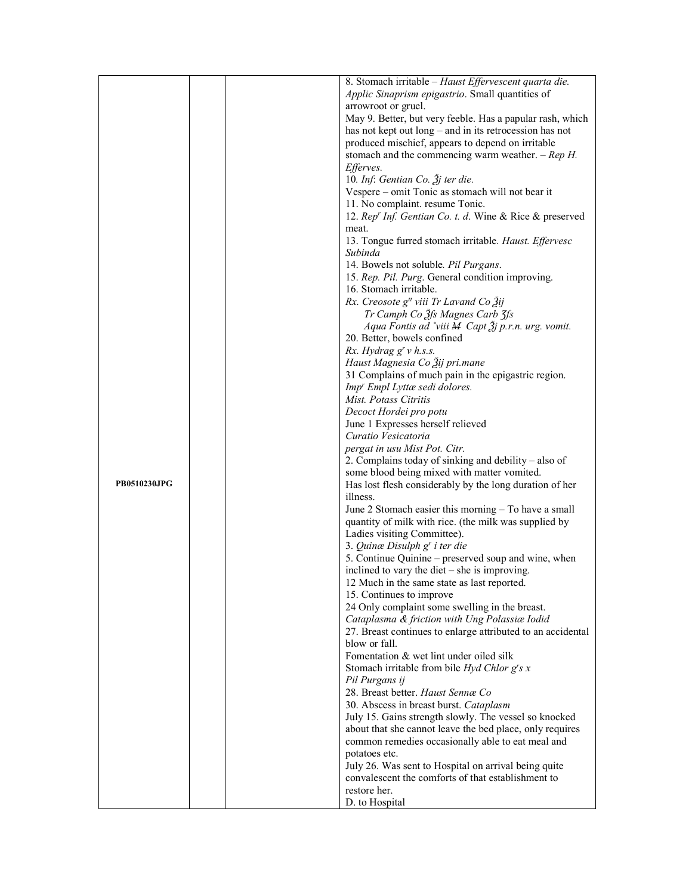|              | 8. Stomach irritable - Haust Effervescent quarta die.                                                         |
|--------------|---------------------------------------------------------------------------------------------------------------|
|              | Applic Sinaprism epigastrio. Small quantities of                                                              |
|              | arrowroot or gruel.                                                                                           |
|              | May 9. Better, but very feeble. Has a papular rash, which                                                     |
|              | has not kept out long – and in its retrocession has not                                                       |
|              | produced mischief, appears to depend on irritable                                                             |
|              | stomach and the commencing warm weather. $-$ Rep H.                                                           |
|              | <i>Efferves.</i>                                                                                              |
|              | 10. Inf: Gentian Co. $\tilde{\mathcal{J}}$ j ter die.                                                         |
|              | Vespere - omit Tonic as stomach will not bear it                                                              |
|              | 11. No complaint. resume Tonic.                                                                               |
|              | 12. Rep' Inf. Gentian Co. t. d. Wine & Rice & preserved                                                       |
|              | meat.                                                                                                         |
|              | 13. Tongue furred stomach irritable. Haust. Effervesc                                                         |
|              | Subinda                                                                                                       |
|              | 14. Bowels not soluble. Pil Purgans.                                                                          |
|              | 15. Rep. Pil. Purg. General condition improving.<br>16. Stomach irritable.                                    |
|              | Rx. Creosote $g^{tt}$ viii Tr Lavand Co $\tilde{g}$ ij                                                        |
|              | Tr Camph Co 3fs Magnes Carb 3fs                                                                               |
|              | Aqua Fontis ad $\hat{v}$ iii M Capt $\hat{A}$ j p.r.n. urg. vomit.                                            |
|              | 20. Better, bowels confined                                                                                   |
|              | $Rx.$ Hydrag $g^r v$ h.s.s.                                                                                   |
|              | Haust Magnesia Co Ѯij pri.mane                                                                                |
|              | 31 Complains of much pain in the epigastric region.                                                           |
|              | Imp' Empl Lyttæ sedi dolores.                                                                                 |
|              | Mist. Potass Citritis                                                                                         |
|              | Decoct Hordei pro potu                                                                                        |
|              | June 1 Expresses herself relieved                                                                             |
|              | Curatio Vesicatoria                                                                                           |
|              | pergat in usu Mist Pot. Citr.                                                                                 |
|              | 2. Complains today of sinking and debility - also of                                                          |
|              | some blood being mixed with matter vomited.                                                                   |
| PB0510230JPG | Has lost flesh considerably by the long duration of her                                                       |
|              | illness.                                                                                                      |
|              | June 2 Stomach easier this morning – To have a small<br>quantity of milk with rice. (the milk was supplied by |
|              | Ladies visiting Committee).                                                                                   |
|              | 3. Quinæ Disulph g' i ter die                                                                                 |
|              | 5. Continue Quinine – preserved soup and wine, when                                                           |
|              | inclined to vary the diet $-$ she is improving.                                                               |
|              | 12 Much in the same state as last reported.                                                                   |
|              | 15. Continues to improve                                                                                      |
|              | 24 Only complaint some swelling in the breast.                                                                |
|              | Cataplasma & friction with Ung Polassiæ Iodid                                                                 |
|              | 27. Breast continues to enlarge attributed to an accidental                                                   |
|              | blow or fall.                                                                                                 |
|              | Fomentation & wet lint under oiled silk                                                                       |
|              | Stomach irritable from bile $Hyd Chlor g's x$                                                                 |
|              | Pil Purgans ij                                                                                                |
|              | 28. Breast better. Haust Sennæ Co                                                                             |
|              | 30. Abscess in breast burst. Cataplasm                                                                        |
|              | July 15. Gains strength slowly. The vessel so knocked                                                         |
|              | about that she cannot leave the bed place, only requires                                                      |
|              | common remedies occasionally able to eat meal and<br>potatoes etc.                                            |
|              | July 26. Was sent to Hospital on arrival being quite                                                          |
|              | convalescent the comforts of that establishment to                                                            |
|              | restore her.                                                                                                  |
|              | D. to Hospital                                                                                                |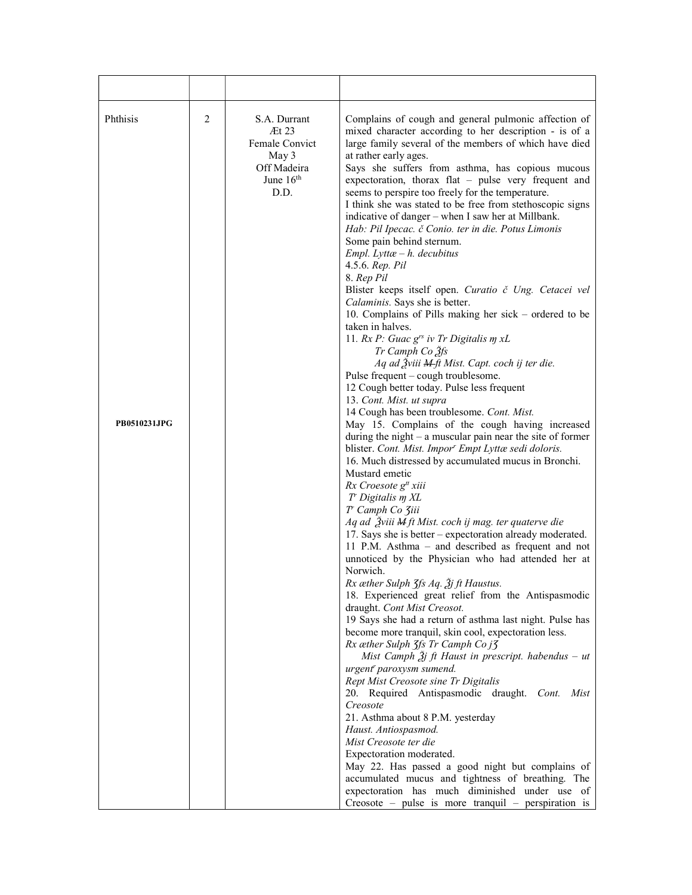| Phthisis<br><b>PB0510231JPG</b> | 2 | S.A. Durrant<br>At 23<br>Female Convict<br>May 3<br>Off Madeira<br>June 16th<br>D.D. | Complains of cough and general pulmonic affection of<br>mixed character according to her description - is of a<br>large family several of the members of which have died<br>at rather early ages.<br>Says she suffers from asthma, has copious mucous<br>expectoration, thorax flat - pulse very frequent and<br>seems to perspire too freely for the temperature.<br>I think she was stated to be free from stethoscopic signs<br>indicative of danger – when I saw her at Millbank.<br>Hab: Pil Ipecac. č Conio. ter in die. Potus Limonis<br>Some pain behind sternum.<br>$Empl. Lytt\alpha - h. decubitus$<br>4.5.6. Rep. Pil<br>8. Rep Pil<br>Blister keeps itself open. Curatio č Ung. Cetacei vel<br>Calaminis. Says she is better.<br>10. Complains of Pills making her sick – ordered to be<br>taken in halves.<br>11. $Rx P$ : Guac $g^{rs}$ iv Tr Digitalis $m xL$<br>Tr Camph Co 3fs<br>Aq ad Žviii M-ft Mist. Capt. coch ij ter die.<br>Pulse frequent – cough troublesome.<br>12 Cough better today. Pulse less frequent<br>13. Cont. Mist. ut supra<br>14 Cough has been troublesome. Cont. Mist.<br>May 15. Complains of the cough having increased<br>during the night $-$ a muscular pain near the site of former<br>blister. Cont. Mist. Impor <sup>r</sup> Empt Lyttæ sedi doloris.<br>16. Much distressed by accumulated mucus in Bronchi.<br>Mustard emetic<br>Rx Croesote g <sup>tt</sup> xiii<br>T' Digitalis m XL<br>T' Camph Co Ziii<br>Aq ad Žviii M ft Mist. coch ij mag. ter quaterve die<br>17. Says she is better – expectoration already moderated.<br>11 P.M. Asthma – and described as frequent and not<br>unnoticed by the Physician who had attended her at<br>Norwich.<br>Rx æther Sulph 3fs Aq. 3j ft Haustus.<br>18. Experienced great relief from the Antispasmodic<br>draught. Cont Mist Creosot.<br>19 Says she had a return of asthma last night. Pulse has<br>become more tranquil, skin cool, expectoration less.<br>Rx æther Sulph 3fs Tr Camph Co j3<br>Mist Camph $\tilde{A}j$ ft Haust in prescript. habendus – ut<br>urgent <sup>r</sup> paroxysm sumend.<br>Rept Mist Creosote sine Tr Digitalis<br>20. Required Antispasmodic draught. Cont. Mist<br>Creosote<br>21. Asthma about 8 P.M. yesterday<br>Haust. Antiospasmod.<br>Mist Creosote ter die<br>Expectoration moderated.<br>May 22. Has passed a good night but complains of<br>accumulated mucus and tightness of breathing. The<br>expectoration has much diminished under use of<br>Creosote – pulse is more tranquil – perspiration is |
|---------------------------------|---|--------------------------------------------------------------------------------------|-------------------------------------------------------------------------------------------------------------------------------------------------------------------------------------------------------------------------------------------------------------------------------------------------------------------------------------------------------------------------------------------------------------------------------------------------------------------------------------------------------------------------------------------------------------------------------------------------------------------------------------------------------------------------------------------------------------------------------------------------------------------------------------------------------------------------------------------------------------------------------------------------------------------------------------------------------------------------------------------------------------------------------------------------------------------------------------------------------------------------------------------------------------------------------------------------------------------------------------------------------------------------------------------------------------------------------------------------------------------------------------------------------------------------------------------------------------------------------------------------------------------------------------------------------------------------------------------------------------------------------------------------------------------------------------------------------------------------------------------------------------------------------------------------------------------------------------------------------------------------------------------------------------------------------------------------------------------------------------------------------------------------------------------------------------------------------------------------------------------------------------------------------------------------------------------------------------------------------------------------------------------------------------------------------------------------------------------------------------------------------------------------------------------------------------------------------------------------------------------------------------------------------------------------------|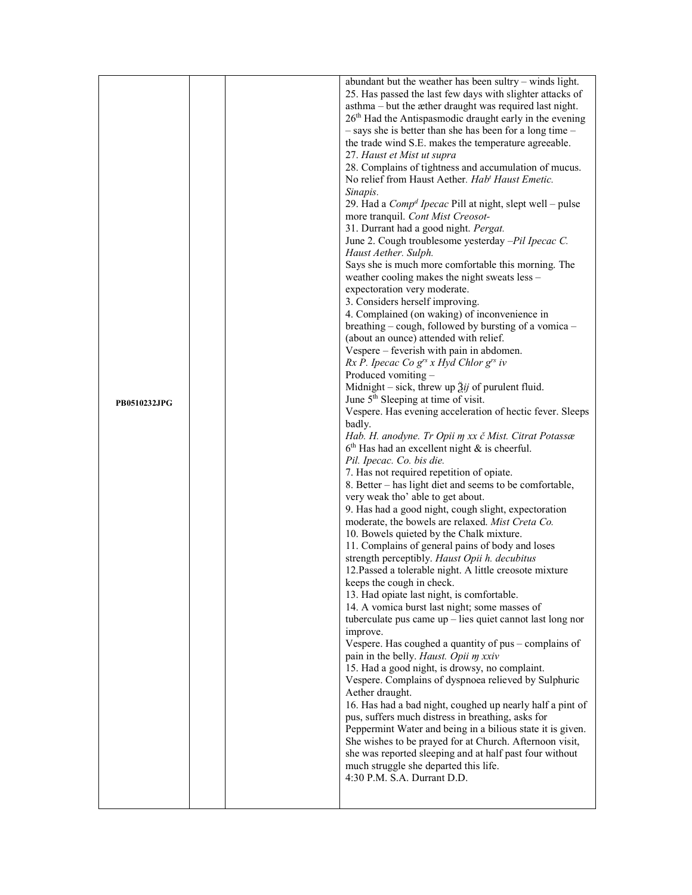|              |  | abundant but the weather has been sultry – winds light.                                           |
|--------------|--|---------------------------------------------------------------------------------------------------|
|              |  | 25. Has passed the last few days with slighter attacks of                                         |
|              |  | asthma – but the æther draught was required last night.                                           |
|              |  | 26 <sup>th</sup> Had the Antispasmodic draught early in the evening                               |
|              |  | $-$ says she is better than she has been for a long time $-$                                      |
|              |  | the trade wind S.E. makes the temperature agreeable.                                              |
|              |  | 27. Haust et Mist ut supra                                                                        |
|              |  | 28. Complains of tightness and accumulation of mucus.                                             |
|              |  | No relief from Haust Aether. Hab' Haust Emetic.                                                   |
|              |  | Sinapis.                                                                                          |
|              |  | 29. Had a $Compd I pecac$ Pill at night, slept well – pulse                                       |
|              |  | more tranquil. Cont Mist Creosot-                                                                 |
|              |  | 31. Durrant had a good night. Pergat.<br>June 2. Cough troublesome yesterday -Pil Ipecac C.       |
|              |  | Haust Aether. Sulph.                                                                              |
|              |  | Says she is much more comfortable this morning. The                                               |
|              |  | weather cooling makes the night sweats less -                                                     |
|              |  | expectoration very moderate.                                                                      |
|              |  | 3. Considers herself improving.                                                                   |
|              |  | 4. Complained (on waking) of inconvenience in                                                     |
|              |  | breathing – cough, followed by bursting of a vomica –                                             |
|              |  | (about an ounce) attended with relief.                                                            |
|              |  | Vespere – feverish with pain in abdomen.                                                          |
|              |  | $Rx P$ . Ipecac Co $g^{rs} x Hyd$ Chlor $g^{rs} iv$                                               |
|              |  | Produced vomiting -                                                                               |
|              |  | Midnight – sick, threw up $\tilde{\lambda}$ <i>ij</i> of purulent fluid.                          |
| PB0510232JPG |  | June 5 <sup>th</sup> Sleeping at time of visit.                                                   |
|              |  | Vespere. Has evening acceleration of hectic fever. Sleeps<br>badly.                               |
|              |  | Hab. H. anodyne. Tr Opii m xx č Mist. Citrat Potassæ                                              |
|              |  | $6th$ Has had an excellent night & is cheerful.                                                   |
|              |  | Pil. Ipecac. Co. bis die.                                                                         |
|              |  | 7. Has not required repetition of opiate.                                                         |
|              |  | 8. Better – has light diet and seems to be comfortable,                                           |
|              |  | very weak tho' able to get about.                                                                 |
|              |  | 9. Has had a good night, cough slight, expectoration                                              |
|              |  | moderate, the bowels are relaxed. Mist Creta Co.                                                  |
|              |  | 10. Bowels quieted by the Chalk mixture.                                                          |
|              |  | 11. Complains of general pains of body and loses<br>strength perceptibly. Haust Opii h. decubitus |
|              |  | 12. Passed a tolerable night. A little creosote mixture                                           |
|              |  | keeps the cough in check.                                                                         |
|              |  | 13. Had opiate last night, is comfortable.                                                        |
|              |  | 14. A vomica burst last night; some masses of                                                     |
|              |  | tuberculate pus came up - lies quiet cannot last long nor                                         |
|              |  | improve.                                                                                          |
|              |  | Vespere. Has coughed a quantity of pus - complains of                                             |
|              |  | pain in the belly. Haust. Opii m xxiv                                                             |
|              |  | 15. Had a good night, is drowsy, no complaint.                                                    |
|              |  | Vespere. Complains of dyspnoea relieved by Sulphuric                                              |
|              |  | Aether draught.<br>16. Has had a bad night, coughed up nearly half a pint of                      |
|              |  | pus, suffers much distress in breathing, asks for                                                 |
|              |  | Peppermint Water and being in a bilious state it is given.                                        |
|              |  | She wishes to be prayed for at Church. Afternoon visit,                                           |
|              |  | she was reported sleeping and at half past four without                                           |
|              |  | much struggle she departed this life.                                                             |
|              |  | 4:30 P.M. S.A. Durrant D.D.                                                                       |
|              |  |                                                                                                   |
|              |  |                                                                                                   |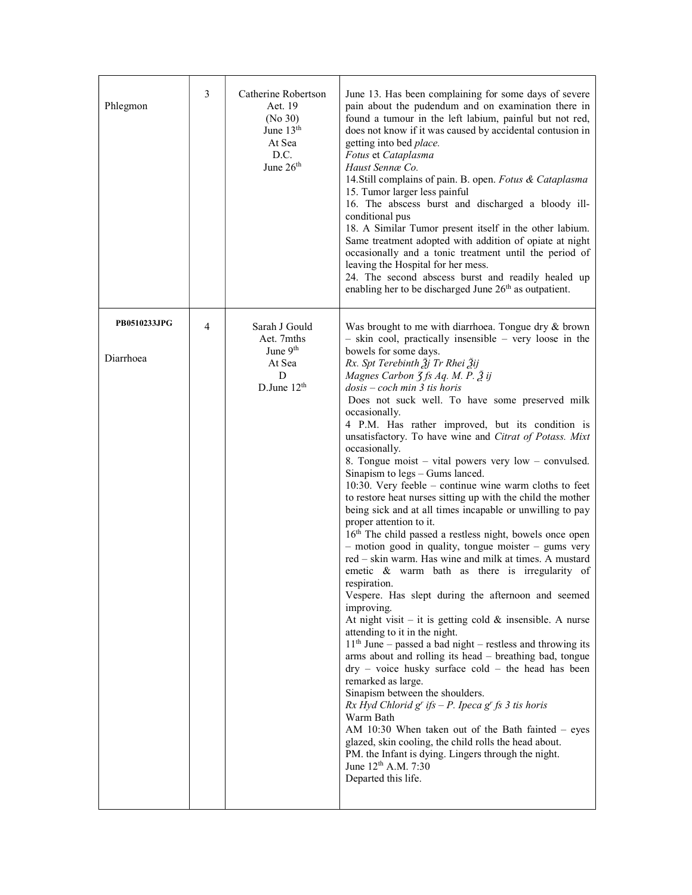| 3<br>Catherine Robertson<br>June 13. Has been complaining for some days of severe<br>Aet. 19<br>pain about the pudendum and on examination there in<br>Phlegmon<br>(No 30)<br>found a tumour in the left labium, painful but not red,<br>June 13 <sup>th</sup><br>does not know if it was caused by accidental contusion in<br>At Sea<br>getting into bed place.<br>D.C.<br>Fotus et Cataplasma<br>June 26 <sup>th</sup><br>Haust Sennæ Co.<br>14. Still complains of pain. B. open. Fotus & Cataplasma<br>15. Tumor larger less painful<br>16. The abscess burst and discharged a bloody ill-<br>conditional pus<br>18. A Similar Tumor present itself in the other labium.<br>Same treatment adopted with addition of opiate at night<br>occasionally and a tonic treatment until the period of<br>leaving the Hospital for her mess.<br>24. The second abscess burst and readily healed up<br>enabling her to be discharged June 26 <sup>th</sup> as outpatient.<br>PB0510233JPG<br>4<br>Sarah J Gould<br>Was brought to me with diarrhoea. Tongue dry & brown<br>- skin cool, practically insensible - very loose in the<br>Aet. 7mths<br>June 9 <sup>th</sup><br>bowels for some days.<br>Diarrhoea<br>Rx. Spt Terebinth $\tilde{A}$ j Tr Rhei $\tilde{A}$ ij<br>At Sea<br>D<br>Magnes Carbon $\zeta$ fs Aq. M. P. $\zeta$ ij<br>D.June $12th$<br>$dosis - coch$ min 3 tis horis<br>Does not suck well. To have some preserved milk<br>occasionally.<br>4 P.M. Has rather improved, but its condition is<br>unsatisfactory. To have wine and Citrat of Potass. Mixt<br>occasionally.<br>8. Tongue moist – vital powers very low – convulsed.<br>Sinapism to legs - Gums lanced.<br>10:30. Very feeble $-$ continue wine warm cloths to feet<br>to restore heat nurses sitting up with the child the mother<br>being sick and at all times incapable or unwilling to pay<br>proper attention to it.<br>16 <sup>th</sup> The child passed a restless night, bowels once open<br>- motion good in quality, tongue moister - gums very<br>red - skin warm. Has wine and milk at times. A mustard<br>emetic & warm bath as there is irregularity of<br>respiration.<br>Vespere. Has slept during the afternoon and seemed<br>improving.<br>At night visit $-$ it is getting cold $\&$ insensible. A nurse<br>attending to it in the night.<br>$11th$ June – passed a bad night – restless and throwing its<br>arms about and rolling its head - breathing bad, tongue<br>$\text{dry}$ – voice husky surface cold – the head has been<br>remarked as large.<br>Sinapism between the shoulders.<br>$Rx$ Hyd Chlorid $gr$ ifs $-P$ . Ipeca $gr$ fs 3 tis horis<br>Warm Bath<br>AM 10:30 When taken out of the Bath fainted $-$ eyes<br>glazed, skin cooling, the child rolls the head about.<br>PM. the Infant is dying. Lingers through the night.<br>June 12 <sup>th</sup> A.M. 7:30<br>Departed this life. |  |  |
|------------------------------------------------------------------------------------------------------------------------------------------------------------------------------------------------------------------------------------------------------------------------------------------------------------------------------------------------------------------------------------------------------------------------------------------------------------------------------------------------------------------------------------------------------------------------------------------------------------------------------------------------------------------------------------------------------------------------------------------------------------------------------------------------------------------------------------------------------------------------------------------------------------------------------------------------------------------------------------------------------------------------------------------------------------------------------------------------------------------------------------------------------------------------------------------------------------------------------------------------------------------------------------------------------------------------------------------------------------------------------------------------------------------------------------------------------------------------------------------------------------------------------------------------------------------------------------------------------------------------------------------------------------------------------------------------------------------------------------------------------------------------------------------------------------------------------------------------------------------------------------------------------------------------------------------------------------------------------------------------------------------------------------------------------------------------------------------------------------------------------------------------------------------------------------------------------------------------------------------------------------------------------------------------------------------------------------------------------------------------------------------------------------------------------------------------------------------------------------------------------------------------------------------------------------------------------------------------------------------------------------------------------------------------------------------------------------------------------------------------------------------------------------------------------------------------------------------------------------------------------------------------------------|--|--|
|                                                                                                                                                                                                                                                                                                                                                                                                                                                                                                                                                                                                                                                                                                                                                                                                                                                                                                                                                                                                                                                                                                                                                                                                                                                                                                                                                                                                                                                                                                                                                                                                                                                                                                                                                                                                                                                                                                                                                                                                                                                                                                                                                                                                                                                                                                                                                                                                                                                                                                                                                                                                                                                                                                                                                                                                                                                                                                            |  |  |
|                                                                                                                                                                                                                                                                                                                                                                                                                                                                                                                                                                                                                                                                                                                                                                                                                                                                                                                                                                                                                                                                                                                                                                                                                                                                                                                                                                                                                                                                                                                                                                                                                                                                                                                                                                                                                                                                                                                                                                                                                                                                                                                                                                                                                                                                                                                                                                                                                                                                                                                                                                                                                                                                                                                                                                                                                                                                                                            |  |  |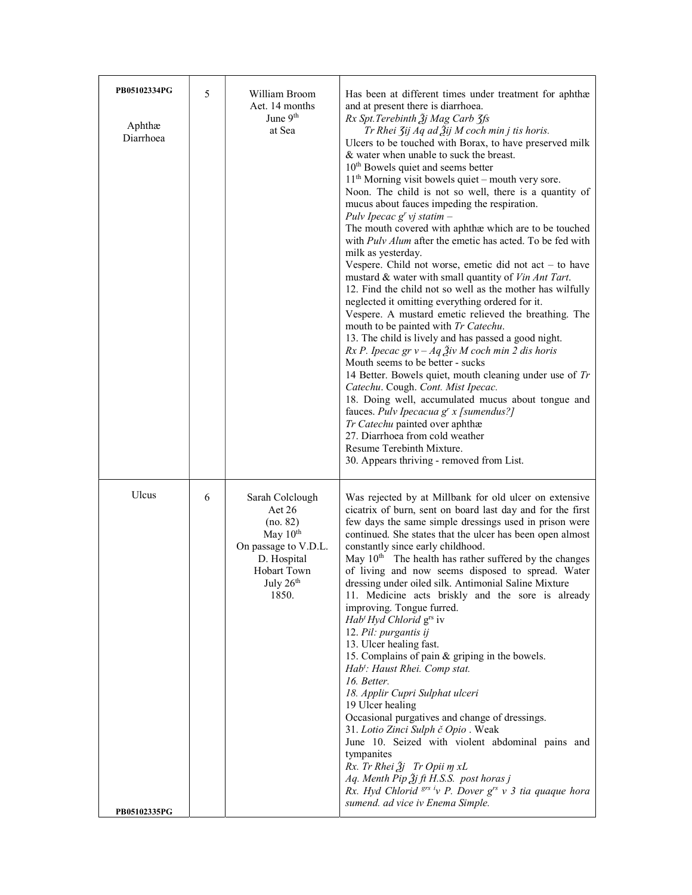| 5 | William Broom<br>Aet. 14 months<br>June $9th$<br>at Sea                                                                                     | Has been at different times under treatment for aphthæ<br>and at present there is diarrhoea.<br>Rx Spt. Terebinth $\tilde{g}$ j Mag Carb $\tilde{g}$ fs<br>Tr Rhei 3ij Aq ad 3ij M coch min j tis horis.<br>Ulcers to be touched with Borax, to have preserved milk<br>& water when unable to suck the breast.<br>10 <sup>th</sup> Bowels quiet and seems better<br>$11th$ Morning visit bowels quiet – mouth very sore.<br>Noon. The child is not so well, there is a quantity of<br>mucus about fauces impeding the respiration.<br>Pulv Ipecac $g^{r}$ vj statim –<br>The mouth covered with aphthæ which are to be touched<br>with <i>Pulv Alum</i> after the emetic has acted. To be fed with<br>milk as yesterday.<br>Vespere. Child not worse, emetic did not $act - to have$<br>mustard & water with small quantity of Vin Ant Tart.<br>12. Find the child not so well as the mother has wilfully<br>neglected it omitting everything ordered for it.<br>Vespere. A mustard emetic relieved the breathing. The<br>mouth to be painted with Tr Catechu.<br>13. The child is lively and has passed a good night.<br>$Rx P$ . Ipecac gr v – Aq $\tilde{Z}$ iv M coch min 2 dis horis<br>Mouth seems to be better - sucks<br>14 Better. Bowels quiet, mouth cleaning under use of Tr<br>Catechu. Cough. Cont. Mist Ipecac.<br>18. Doing well, accumulated mucus about tongue and<br>fauces. Pulv Ipecacua $g^{r}$ x [sumendus?]<br>Tr Catechu painted over aphthæ<br>27. Diarrhoea from cold weather<br>Resume Terebinth Mixture.<br>30. Appears thriving - removed from List. |
|---|---------------------------------------------------------------------------------------------------------------------------------------------|------------------------------------------------------------------------------------------------------------------------------------------------------------------------------------------------------------------------------------------------------------------------------------------------------------------------------------------------------------------------------------------------------------------------------------------------------------------------------------------------------------------------------------------------------------------------------------------------------------------------------------------------------------------------------------------------------------------------------------------------------------------------------------------------------------------------------------------------------------------------------------------------------------------------------------------------------------------------------------------------------------------------------------------------------------------------------------------------------------------------------------------------------------------------------------------------------------------------------------------------------------------------------------------------------------------------------------------------------------------------------------------------------------------------------------------------------------------------------------------------------------------------------------------------------------------------------------|
| 6 | Sarah Colclough<br>$\text{Aet }26$<br>(no. 82)<br>May $10^{th}$<br>On passage to V.D.L.<br>D. Hospital<br>Hobart Town<br>July 26th<br>1850. | Was rejected by at Millbank for old ulcer on extensive<br>cicatrix of burn, sent on board last day and for the first<br>few days the same simple dressings used in prison were<br>continued. She states that the ulcer has been open almost<br>constantly since early childhood.<br>May 10 <sup>th</sup> The health has rather suffered by the changes<br>of living and now seems disposed to spread. Water<br>dressing under oiled silk. Antimonial Saline Mixture<br>11. Medicine acts briskly and the sore is already<br>improving. Tongue furred.<br>Hab' Hyd Chlorid g <sup>rs</sup> iv<br>12. Pil: purgantis ij<br>13. Ulcer healing fast.<br>15. Complains of pain & griping in the bowels.<br>Hab <sup>t</sup> : Haust Rhei. Comp stat.<br>16. Better.<br>18. Applir Cupri Sulphat ulceri<br>19 Ulcer healing<br>Occasional purgatives and change of dressings.<br>31. Lotio Zinci Sulph č Opio . Weak<br>June 10. Seized with violent abdominal pains and<br>tympanites<br>Rx. Tr Rhei Žj Tr Opii m xL<br>Aq. Menth Pip $\tilde{A}j$ ft H.S.S. post horas j<br>Rx. Hyd Chlorid $grs$ iv P. Dover $grs$ v 3 tia quaque hora<br>sumend. ad vice iv Enema Simple.                                                                                                                                                                                                                                                                                                                                                                                                            |
|   |                                                                                                                                             |                                                                                                                                                                                                                                                                                                                                                                                                                                                                                                                                                                                                                                                                                                                                                                                                                                                                                                                                                                                                                                                                                                                                                                                                                                                                                                                                                                                                                                                                                                                                                                                    |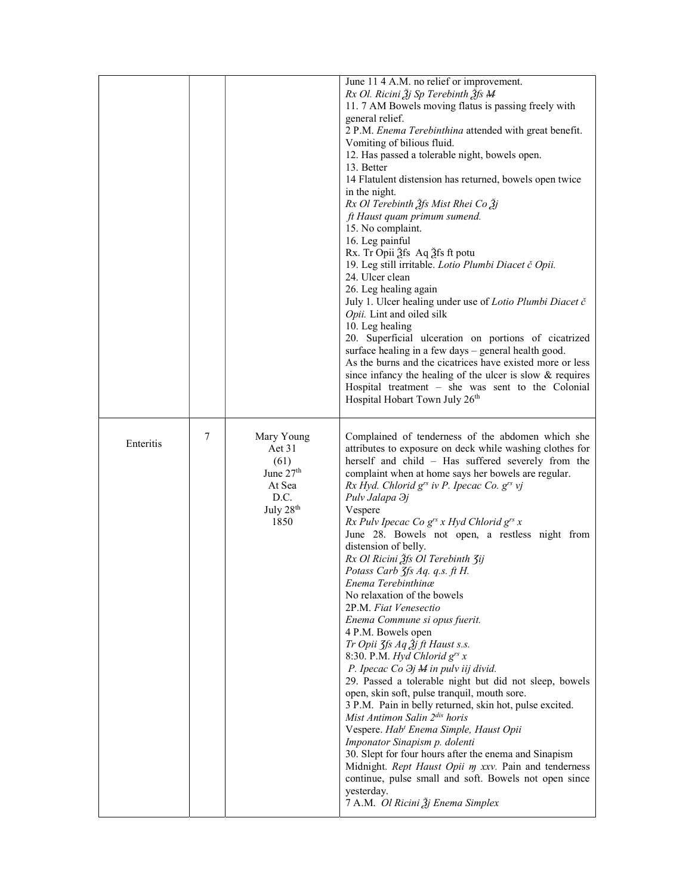|           |   |                                                                                                | June 11 4 A.M. no relief or improvement.<br>Rx Ol. Ricini Žj Sp Terebinth Žfs M<br>11.7 AM Bowels moving flatus is passing freely with<br>general relief.<br>2 P.M. Enema Terebinthina attended with great benefit.<br>Vomiting of bilious fluid.<br>12. Has passed a tolerable night, bowels open.<br>13. Better<br>14 Flatulent distension has returned, bowels open twice<br>in the night.<br>Rx Ol Terebinth Ѯfs Mist Rhei Co Ѯj<br>ft Haust quam primum sumend.<br>15. No complaint.<br>16. Leg painful<br>Rx. Tr Opii Ѯfs Aq Ѯfs ft potu<br>19. Leg still irritable. Lotio Plumbi Diacet č Opii.<br>24. Ulcer clean<br>26. Leg healing again<br>July 1. Ulcer healing under use of Lotio Plumbi Diacet č<br>Opii. Lint and oiled silk<br>10. Leg healing<br>20. Superficial ulceration on portions of cicatrized<br>surface healing in a few days - general health good.<br>As the burns and the cicatrices have existed more or less<br>since infancy the healing of the ulcer is slow & requires<br>Hospital treatment - she was sent to the Colonial<br>Hospital Hobart Town July 26th                                                                                                                                                                                                                                            |
|-----------|---|------------------------------------------------------------------------------------------------|--------------------------------------------------------------------------------------------------------------------------------------------------------------------------------------------------------------------------------------------------------------------------------------------------------------------------------------------------------------------------------------------------------------------------------------------------------------------------------------------------------------------------------------------------------------------------------------------------------------------------------------------------------------------------------------------------------------------------------------------------------------------------------------------------------------------------------------------------------------------------------------------------------------------------------------------------------------------------------------------------------------------------------------------------------------------------------------------------------------------------------------------------------------------------------------------------------------------------------------------------------------------------------------------------------------------------------------------|
| Enteritis | 7 | Mary Young<br>Aet 31<br>(61)<br>June $27th$<br>At Sea<br>D.C.<br>July 28 <sup>th</sup><br>1850 | Complained of tenderness of the abdomen which she<br>attributes to exposure on deck while washing clothes for<br>herself and child - Has suffered severely from the<br>complaint when at home says her bowels are regular.<br>Rx Hyd. Chlorid $g^{rs}$ iv P. Ipecac Co. $g^{rs}$ vj<br>Pulv Jalapa $\partial j$<br>Vespere<br>Rx Pulv Ipecac Co $g^{rs}$ x Hyd Chlorid $g^{rs}$ x<br>June 28. Bowels not open, a restless night from<br>distension of belly.<br>Rx Ol Ricini Ѯfs Ol Terebinth 3ij<br>Potass Carb 3fs Aq. q.s. ft H.<br>Enema Terebinthinæ<br>No relaxation of the bowels<br>2P.M. Fiat Venesectio<br>Enema Commune si opus fuerit.<br>4 P.M. Bowels open<br>Tr Opii 3fs Aq $3j$ ft Haust s.s.<br>8:30. P.M. Hyd Chlorid $g^{rs}$ x<br>P. Ipecac Co $\partial j$ M in pulv iij divid.<br>29. Passed a tolerable night but did not sleep, bowels<br>open, skin soft, pulse tranquil, mouth sore.<br>3 P.M. Pain in belly returned, skin hot, pulse excited.<br>Mist Antimon Salin 2 <sup>dis</sup> horis<br>Vespere. Hab <sup>t</sup> Enema Simple, Haust Opii<br>Imponator Sinapism p. dolenti<br>30. Slept for four hours after the enema and Sinapism<br>Midnight. Rept Haust Opii m xxv. Pain and tenderness<br>continue, pulse small and soft. Bowels not open since<br>yesterday.<br>7 A.M. Ol Ricini Žj Enema Simplex |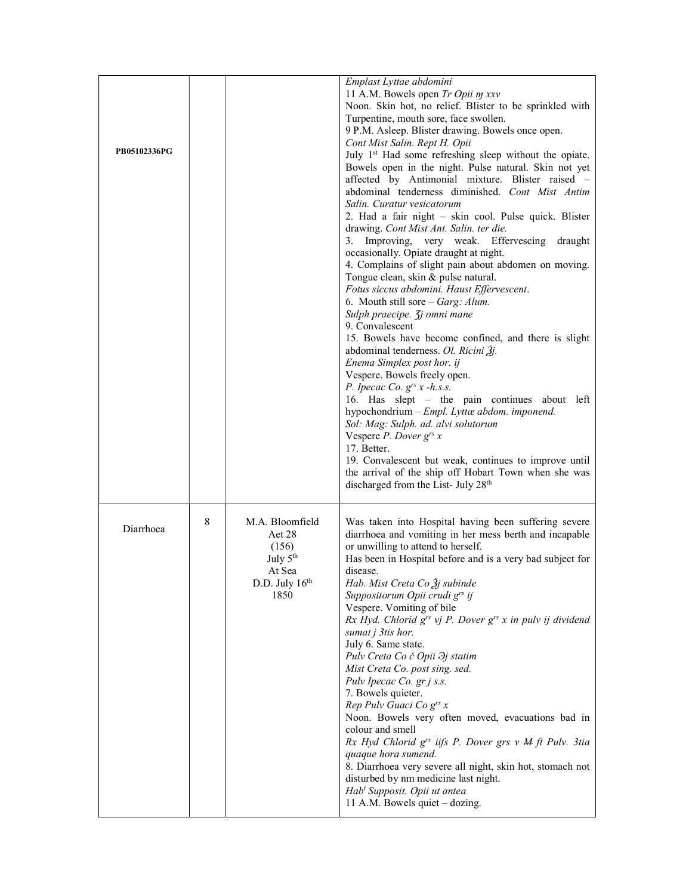| PB05102336PG |   |                                                                                                  | Emplast Lyttae abdomini<br>11 A.M. Bowels open Tr Opii m xxv<br>Noon. Skin hot, no relief. Blister to be sprinkled with<br>Turpentine, mouth sore, face swollen.<br>9 P.M. Asleep. Blister drawing. Bowels once open.<br>Cont Mist Salin. Rept H. Opii<br>July 1 <sup>st</sup> Had some refreshing sleep without the opiate.<br>Bowels open in the night. Pulse natural. Skin not yet<br>affected by Antimonial mixture. Blister raised -<br>abdominal tenderness diminished. Cont Mist Antim<br>Salin. Curatur vesicatorum<br>2. Had a fair night - skin cool. Pulse quick. Blister<br>drawing. Cont Mist Ant. Salin. ter die.<br>3. Improving, very weak. Effervescing<br>draught<br>occasionally. Opiate draught at night.<br>4. Complains of slight pain about abdomen on moving.<br>Tongue clean, skin & pulse natural.<br>Fotus siccus abdomini. Haust Effervescent.<br>6. Mouth still sore - Garg: Alum.<br>Sulph praecipe. <i>Jj omni mane</i><br>9. Convalescent<br>15. Bowels have become confined, and there is slight<br>abdominal tenderness. Ol. Ricini Žj.<br>Enema Simplex post hor. ij<br>Vespere. Bowels freely open.<br>P. Ipecac Co. $g^{rs}$ x -h.s.s.<br>16. Has slept – the pain continues about left<br>hypochondrium - Empl. Lyttæ abdom. imponend.<br>Sol: Mag: Sulph. ad. alvi solutorum<br>Vespere <i>P. Dover</i> $g^{rs}$ <i>x</i><br>17. Better.<br>19. Convalescent but weak, continues to improve until<br>the arrival of the ship off Hobart Town when she was<br>discharged from the List- July 28th |
|--------------|---|--------------------------------------------------------------------------------------------------|-----------------------------------------------------------------------------------------------------------------------------------------------------------------------------------------------------------------------------------------------------------------------------------------------------------------------------------------------------------------------------------------------------------------------------------------------------------------------------------------------------------------------------------------------------------------------------------------------------------------------------------------------------------------------------------------------------------------------------------------------------------------------------------------------------------------------------------------------------------------------------------------------------------------------------------------------------------------------------------------------------------------------------------------------------------------------------------------------------------------------------------------------------------------------------------------------------------------------------------------------------------------------------------------------------------------------------------------------------------------------------------------------------------------------------------------------------------------------------------------------------------------------------------------|
| Diarrhoea    | 8 | M.A. Bloomfield<br>Aet 28<br>(156)<br>July 5 <sup>th</sup><br>At Sea<br>D.D. July $16th$<br>1850 | Was taken into Hospital having been suffering severe<br>diarrhoea and vomiting in her mess berth and incapable<br>or unwilling to attend to herself.<br>Has been in Hospital before and is a very bad subject for<br>disease.<br>Hab. Mist Creta Co $\tilde{A}$ j subinde<br>Suppositorum Opii crudi g <sup>rs</sup> ij<br>Vespere. Vomiting of bile<br>Rx Hyd. Chlorid $g^{rs}$ vj P. Dover $g^{rs}$ x in pulv ij dividend<br>sumat j 3tis hor.<br>July 6. Same state.<br>Pulv Creta Co č Opii $\partial j$ statim<br>Mist Creta Co. post sing. sed.<br>Pulv Ipecac Co. gr j s.s.<br>7. Bowels quieter.<br>Rep Pulv Guaci Co grs x<br>Noon. Bowels very often moved, evacuations bad in<br>colour and smell<br>Rx Hyd Chlorid g <sup>rs</sup> iifs P. Dover grs v M ft Pulv. 3tia<br>quaque hora sumend.<br>8. Diarrhoea very severe all night, skin hot, stomach not<br>disturbed by nm medicine last night.<br>Hab <sup>t</sup> Supposit. Opii ut antea<br>11 A.M. Bowels quiet - dozing.                                                                                                                                                                                                                                                                                                                                                                                                                                                                                                                                            |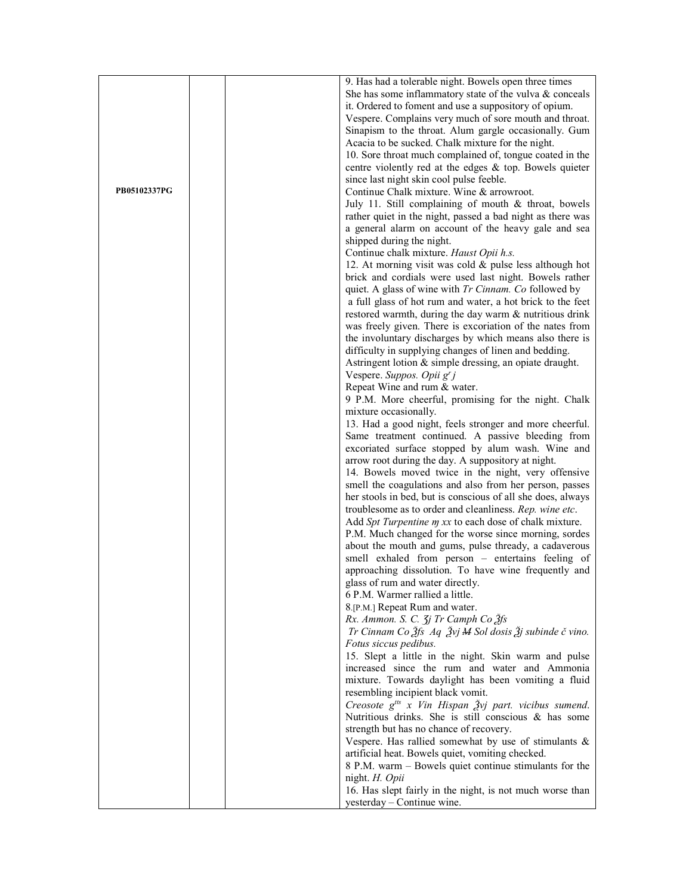|              | 9. Has had a tolerable night. Bowels open three times                                                            |
|--------------|------------------------------------------------------------------------------------------------------------------|
|              | She has some inflammatory state of the vulva & conceals                                                          |
|              | it. Ordered to foment and use a suppository of opium.                                                            |
|              | Vespere. Complains very much of sore mouth and throat.                                                           |
|              | Sinapism to the throat. Alum gargle occasionally. Gum                                                            |
|              | Acacia to be sucked. Chalk mixture for the night.                                                                |
|              | 10. Sore throat much complained of, tongue coated in the                                                         |
|              | centre violently red at the edges & top. Bowels quieter                                                          |
|              | since last night skin cool pulse feeble.                                                                         |
| PB05102337PG | Continue Chalk mixture. Wine & arrowroot.                                                                        |
|              | July 11. Still complaining of mouth & throat, bowels                                                             |
|              | rather quiet in the night, passed a bad night as there was                                                       |
|              | a general alarm on account of the heavy gale and sea                                                             |
|              | shipped during the night.                                                                                        |
|              | Continue chalk mixture. Haust Opii h.s.                                                                          |
|              | 12. At morning visit was cold & pulse less although hot                                                          |
|              | brick and cordials were used last night. Bowels rather                                                           |
|              | quiet. A glass of wine with <i>Tr Cinnam. Co</i> followed by                                                     |
|              | a full glass of hot rum and water, a hot brick to the feet                                                       |
|              | restored warmth, during the day warm & nutritious drink                                                          |
|              | was freely given. There is excoriation of the nates from                                                         |
|              | the involuntary discharges by which means also there is                                                          |
|              | difficulty in supplying changes of linen and bedding.<br>Astringent lotion & simple dressing, an opiate draught. |
|              | Vespere. Suppos. Opii g' j                                                                                       |
|              | Repeat Wine and rum & water.                                                                                     |
|              | 9 P.M. More cheerful, promising for the night. Chalk                                                             |
|              | mixture occasionally.                                                                                            |
|              | 13. Had a good night, feels stronger and more cheerful.                                                          |
|              | Same treatment continued. A passive bleeding from                                                                |
|              | excoriated surface stopped by alum wash. Wine and                                                                |
|              | arrow root during the day. A suppository at night.                                                               |
|              | 14. Bowels moved twice in the night, very offensive                                                              |
|              | smell the coagulations and also from her person, passes                                                          |
|              | her stools in bed, but is conscious of all she does, always                                                      |
|              | troublesome as to order and cleanliness. Rep. wine etc.                                                          |
|              | Add Spt Turpentine m xx to each dose of chalk mixture.                                                           |
|              | P.M. Much changed for the worse since morning, sordes                                                            |
|              | about the mouth and gums, pulse thready, a cadaverous                                                            |
|              | smell exhaled from person – entertains feeling of                                                                |
|              | approaching dissolution. To have wine frequently and                                                             |
|              | glass of rum and water directly.                                                                                 |
|              | 6 P.M. Warmer rallied a little.<br>8.[P.M.] Repeat Rum and water.                                                |
|              | Rx. Ammon. S. C. 3j Tr Camph Co 3fs                                                                              |
|              | Tr Cinnam Co $\tilde{g}$ fs Aq $\tilde{g}$ vj M Sol dosis $\tilde{g}$ j subinde č vino.                          |
|              | Fotus siccus pedibus.                                                                                            |
|              | 15. Slept a little in the night. Skin warm and pulse                                                             |
|              | increased since the rum and water and Ammonia                                                                    |
|              | mixture. Towards daylight has been vomiting a fluid                                                              |
|              | resembling incipient black vomit.                                                                                |
|              | Creosote $g^{its}$ x Vin Hispan $\tilde{g}yj$ part. vicibus sumend.                                              |
|              | Nutritious drinks. She is still conscious & has some                                                             |
|              | strength but has no chance of recovery.                                                                          |
|              | Vespere. Has rallied somewhat by use of stimulants &                                                             |
|              | artificial heat. Bowels quiet, vomiting checked.                                                                 |
|              | 8 P.M. warm – Bowels quiet continue stimulants for the                                                           |
|              | night. H. Opii                                                                                                   |
|              | 16. Has slept fairly in the night, is not much worse than                                                        |
|              | yesterday - Continue wine.                                                                                       |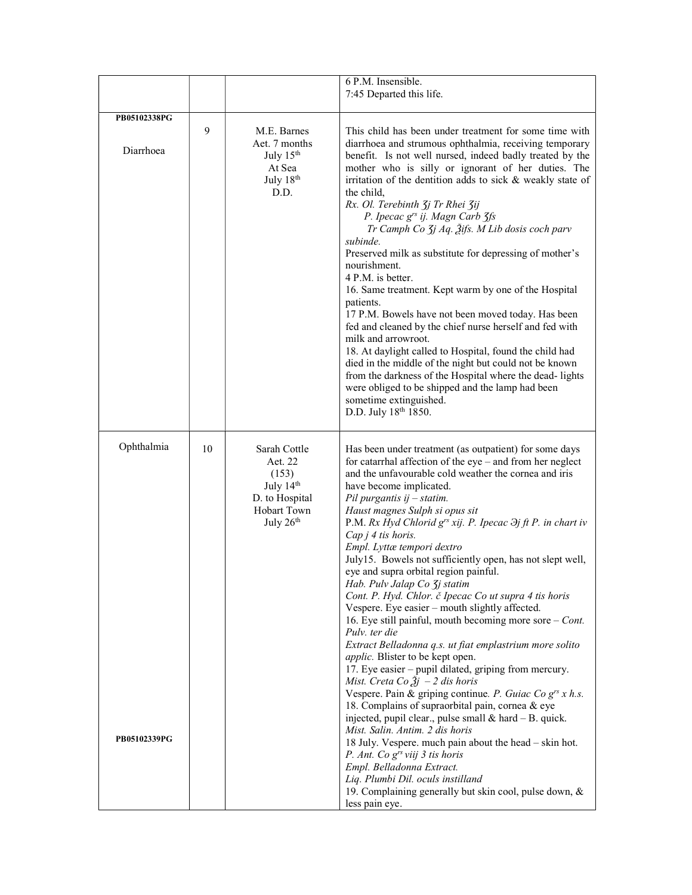| 7:45 Departed this life.<br>This child has been under treatment for some time with<br>diarrhoea and strumous ophthalmia, receiving temporary<br>benefit. Is not well nursed, indeed badly treated by the<br>mother who is silly or ignorant of her duties. The<br>irritation of the dentition adds to sick & weakly state of<br>Rx. Ol. Terebinth 3j Tr Rhei 3ij<br>P. Ipecac g <sup>rs</sup> ij. Magn Carb 3fs<br>Tr Camph Co <i>Jj Aq. Žifs. M Lib dosis coch parv</i><br>Preserved milk as substitute for depressing of mother's                                                                                                                                                                                                                                                                                                                                                                                                                                                                                                                                                                    |
|--------------------------------------------------------------------------------------------------------------------------------------------------------------------------------------------------------------------------------------------------------------------------------------------------------------------------------------------------------------------------------------------------------------------------------------------------------------------------------------------------------------------------------------------------------------------------------------------------------------------------------------------------------------------------------------------------------------------------------------------------------------------------------------------------------------------------------------------------------------------------------------------------------------------------------------------------------------------------------------------------------------------------------------------------------------------------------------------------------|
|                                                                                                                                                                                                                                                                                                                                                                                                                                                                                                                                                                                                                                                                                                                                                                                                                                                                                                                                                                                                                                                                                                        |
|                                                                                                                                                                                                                                                                                                                                                                                                                                                                                                                                                                                                                                                                                                                                                                                                                                                                                                                                                                                                                                                                                                        |
| 16. Same treatment. Kept warm by one of the Hospital<br>17 P.M. Bowels have not been moved today. Has been<br>fed and cleaned by the chief nurse herself and fed with<br>milk and arrowroot.<br>18. At daylight called to Hospital, found the child had<br>died in the middle of the night but could not be known<br>from the darkness of the Hospital where the dead-lights<br>were obliged to be shipped and the lamp had been<br>sometime extinguished.<br>D.D. July 18th 1850.                                                                                                                                                                                                                                                                                                                                                                                                                                                                                                                                                                                                                     |
| Has been under treatment (as outpatient) for some days<br>for catarrhal affection of the $eye$ – and from her neglect<br>and the unfavourable cold weather the cornea and iris<br>have become implicated.<br>$Pil$ purgantis ij $-$ statim.<br>Haust magnes Sulph si opus sit<br>P.M. Rx Hyd Chlorid g <sup>rs</sup> xij. P. Ipecac $\partial j$ ft P. in chart iv<br>Empl. Lyttæ tempori dextro<br>July15. Bowels not sufficiently open, has not slept well,<br>eye and supra orbital region painful.<br>Hab. Pulv Jalap Co 3j statim<br>Cont. P. Hyd. Chlor. č Ipecac Co ut supra 4 tis horis<br>Vespere. Eye easier - mouth slightly affected.<br>16. Eye still painful, mouth becoming more sore $-$ <i>Cont</i> .<br>Extract Belladonna q.s. ut fiat emplastrium more solito<br>applic. Blister to be kept open.<br>17. Eye easier – pupil dilated, griping from mercury.<br>Mist. Creta Co $3j - 2$ dis horis<br>Vespere. Pain & griping continue. P. Guiac Co $g^{rs}$ x h.s.<br>18. Complains of supraorbital pain, cornea & eye<br>injected, pupil clear., pulse small $&$ hard $-$ B. quick. |
| Cap $j$ 4 tis horis.                                                                                                                                                                                                                                                                                                                                                                                                                                                                                                                                                                                                                                                                                                                                                                                                                                                                                                                                                                                                                                                                                   |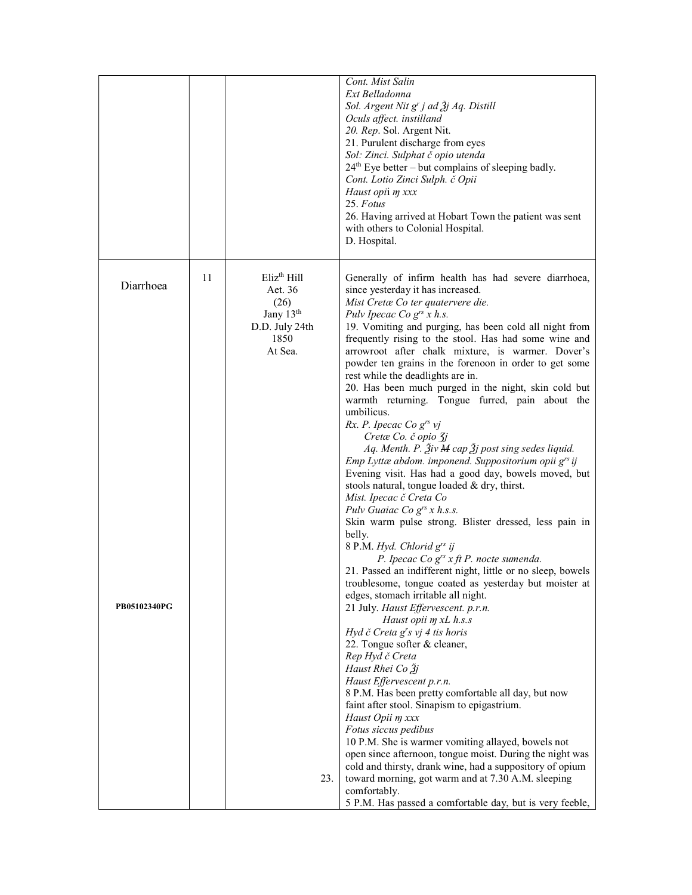|              |    |                                                                                                   | Cont. Mist Salin<br>Ext Belladonna<br>Sol. Argent Nit g' j ad $\tilde{A}$ j Aq. Distill<br>Oculs affect. instilland<br>20. Rep. Sol. Argent Nit.<br>21. Purulent discharge from eyes<br>Sol: Zinci. Sulphat č opio utenda<br>$24th$ Eye better – but complains of sleeping badly.<br>Cont. Lotio Zinci Sulph. č Opii<br>Haust opii m xxx<br>25. Fotus<br>26. Having arrived at Hobart Town the patient was sent<br>with others to Colonial Hospital.<br>D. Hospital.                                                                                                                                                                                                                               |
|--------------|----|---------------------------------------------------------------------------------------------------|----------------------------------------------------------------------------------------------------------------------------------------------------------------------------------------------------------------------------------------------------------------------------------------------------------------------------------------------------------------------------------------------------------------------------------------------------------------------------------------------------------------------------------------------------------------------------------------------------------------------------------------------------------------------------------------------------|
| Diarrhoea    | 11 | $E$ liz <sup>th</sup> Hill<br>Aet. 36<br>(26)<br>Jany $13th$<br>D.D. July 24th<br>1850<br>At Sea. | Generally of infirm health has had severe diarrhoea,<br>since yesterday it has increased.<br>Mist Cretæ Co ter quatervere die.<br>Pulv Ipecac Co $g^{rs}$ x h.s.<br>19. Vomiting and purging, has been cold all night from<br>frequently rising to the stool. Has had some wine and<br>arrowroot after chalk mixture, is warmer. Dover's                                                                                                                                                                                                                                                                                                                                                           |
|              |    |                                                                                                   | powder ten grains in the forenoon in order to get some<br>rest while the deadlights are in.<br>20. Has been much purged in the night, skin cold but<br>warmth returning. Tongue furred, pain about the<br>umbilicus.<br>Rx. P. Ipecac Co $g^{rs}$ vj<br>Cretæ Co. č opio 3j<br>Aq. Menth. P. Živ M cap Žj post sing sedes liquid.<br>Emp Lyttæ abdom. imponend. Suppositorium opii g <sup>rs</sup> ij                                                                                                                                                                                                                                                                                              |
|              |    |                                                                                                   | Evening visit. Has had a good day, bowels moved, but<br>stools natural, tongue loaded & dry, thirst.<br>Mist. Ipecac č Creta Co<br>Pulv Guaiac Co $g^{rs}$ x h.s.s.<br>Skin warm pulse strong. Blister dressed, less pain in<br>belly.<br>8 P.M. Hyd. Chlorid g <sup>rs</sup> ij<br>P. Ipecac Co $g^{rs}$ x ft P. nocte sumenda.                                                                                                                                                                                                                                                                                                                                                                   |
| PB05102340PG |    |                                                                                                   | 21. Passed an indifferent night, little or no sleep, bowels<br>troublesome, tongue coated as yesterday but moister at<br>edges, stomach irritable all night.<br>21 July. Haust Effervescent. p.r.n.<br>Haust opii m xL h.s.s<br>Hyd č Creta g's vj 4 tis horis<br>22. Tongue softer & cleaner,<br>Rep Hyd č Creta<br>Haust Rhei Co Žj<br>Haust Effervescent p.r.n.<br>8 P.M. Has been pretty comfortable all day, but now<br>faint after stool. Sinapism to epigastrium.<br>Haust Opii m xxx<br>Fotus siccus pedibus<br>10 P.M. She is warmer vomiting allayed, bowels not<br>open since afternoon, tongue moist. During the night was<br>cold and thirsty, drank wine, had a suppository of opium |
|              |    | 23.                                                                                               | toward morning, got warm and at 7.30 A.M. sleeping<br>comfortably.<br>5 P.M. Has passed a comfortable day, but is very feeble,                                                                                                                                                                                                                                                                                                                                                                                                                                                                                                                                                                     |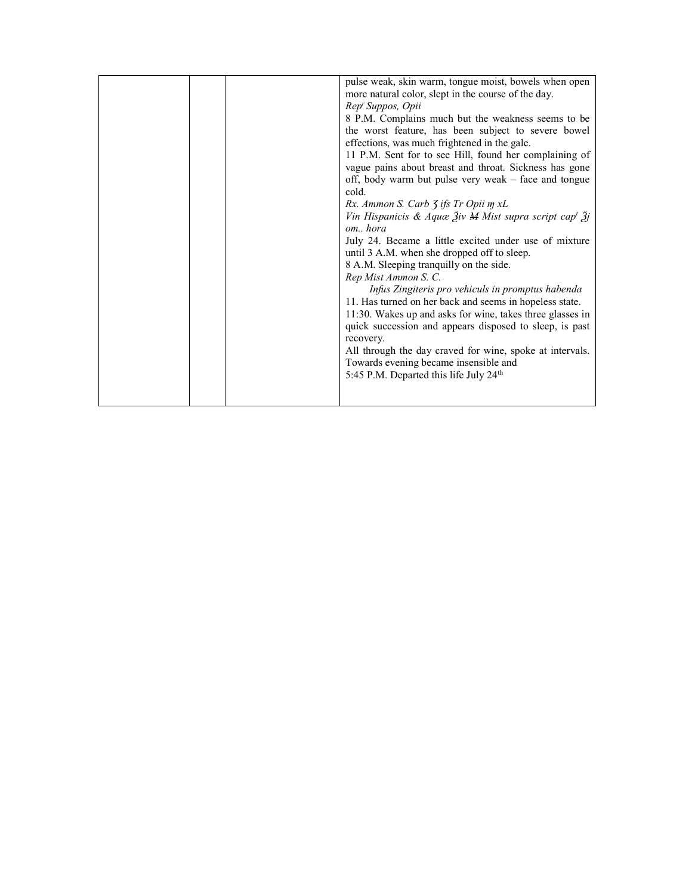|  | pulse weak, skin warm, tongue moist, bowels when open                                   |
|--|-----------------------------------------------------------------------------------------|
|  | more natural color, slept in the course of the day.                                     |
|  | Rep' Suppos, Opii                                                                       |
|  | 8 P.M. Complains much but the weakness seems to be                                      |
|  | the worst feature, has been subject to severe bowel                                     |
|  | effections, was much frightened in the gale.                                            |
|  | 11 P.M. Sent for to see Hill, found her complaining of                                  |
|  | vague pains about breast and throat. Sickness has gone                                  |
|  | off, body warm but pulse very weak - face and tongue                                    |
|  | cold.                                                                                   |
|  | Rx. Ammon S. Carb 3 ifs Tr Opii m xL                                                    |
|  | Vin Hispanicis & Aquæ $\tilde{A}$ iv M Mist supra script cap <sup>t</sup> $\tilde{A}$ j |
|  | omhora                                                                                  |
|  | July 24. Became a little excited under use of mixture                                   |
|  | until 3 A.M. when she dropped off to sleep.                                             |
|  | 8 A.M. Sleeping tranquilly on the side.                                                 |
|  | Rep Mist Ammon S. C.                                                                    |
|  | Infus Zingiteris pro vehiculs in promptus habenda                                       |
|  | 11. Has turned on her back and seems in hopeless state.                                 |
|  | 11:30. Wakes up and asks for wine, takes three glasses in                               |
|  | quick succession and appears disposed to sleep, is past                                 |
|  | recovery.                                                                               |
|  | All through the day craved for wine, spoke at intervals.                                |
|  | Towards evening became insensible and                                                   |
|  | 5:45 P.M. Departed this life July 24 <sup>th</sup>                                      |
|  |                                                                                         |
|  |                                                                                         |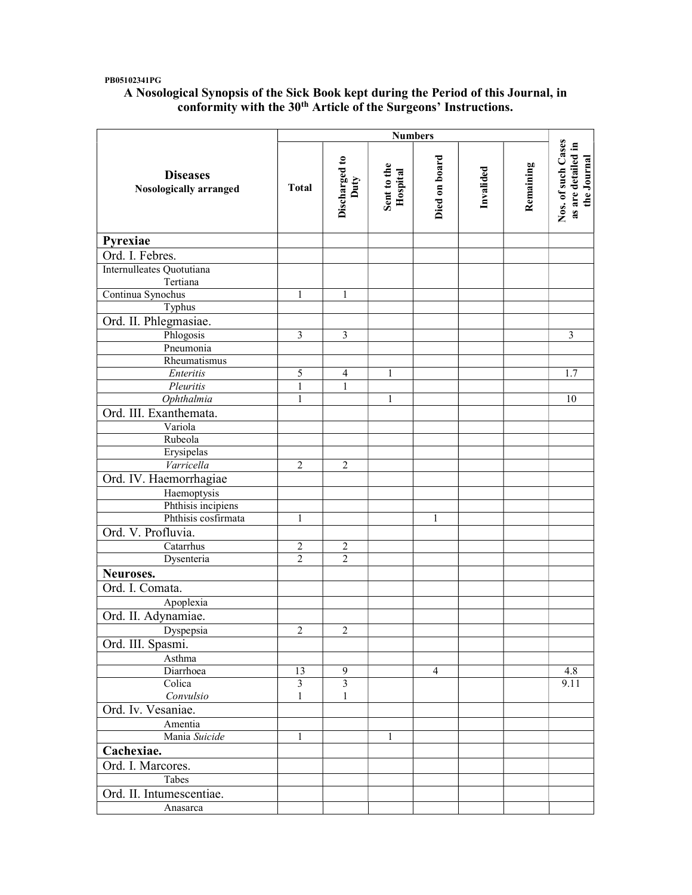### PB05102341PG

## A Nosological Synopsis of the Sick Book kept during the Period of this Journal, in conformity with the 30<sup>th</sup> Article of the Surgeons' Instructions.

|                                           | <b>Numbers</b> |                         |                         |                |           |           |                                                         |
|-------------------------------------------|----------------|-------------------------|-------------------------|----------------|-----------|-----------|---------------------------------------------------------|
| <b>Diseases</b><br>Nosologically arranged | <b>Total</b>   | Discharged to<br>Duty   | Sent to the<br>Hospital | Died on board  | Invalided | Remaining | Nos. of such Cases<br>as are detailed in<br>the Journal |
| Pyrexiae                                  |                |                         |                         |                |           |           |                                                         |
| Ord. I. Febres.                           |                |                         |                         |                |           |           |                                                         |
| Internulleates Quotutiana<br>Tertiana     |                |                         |                         |                |           |           |                                                         |
| Continua Synochus                         | 1              | 1                       |                         |                |           |           |                                                         |
| Typhus                                    |                |                         |                         |                |           |           |                                                         |
| Ord. II. Phlegmasiae.                     |                |                         |                         |                |           |           |                                                         |
| Phlogosis                                 | 3              | 3                       |                         |                |           |           | 3                                                       |
| Pneumonia                                 |                |                         |                         |                |           |           |                                                         |
| Rheumatismus                              |                |                         |                         |                |           |           |                                                         |
| Enteritis                                 | $\mathfrak s$  | 4                       | $\mathbf{1}$            |                |           |           | 1.7                                                     |
| Pleuritis                                 | $\mathbf{1}$   | $\mathbf{1}$            |                         |                |           |           |                                                         |
| Ophthalmia                                | $\mathbf{1}$   |                         | 1                       |                |           |           | 10                                                      |
| Ord. III. Exanthemata.                    |                |                         |                         |                |           |           |                                                         |
| Variola                                   |                |                         |                         |                |           |           |                                                         |
| Rubeola                                   |                |                         |                         |                |           |           |                                                         |
| Erysipelas                                |                |                         |                         |                |           |           |                                                         |
| Varricella                                | $\overline{2}$ | $\overline{2}$          |                         |                |           |           |                                                         |
| Ord. IV. Haemorrhagiae                    |                |                         |                         |                |           |           |                                                         |
| Haemoptysis                               |                |                         |                         |                |           |           |                                                         |
| Phthisis incipiens                        |                |                         |                         |                |           |           |                                                         |
| Phthisis cosfirmata                       | $\mathbf{1}$   |                         |                         | $\mathbf{1}$   |           |           |                                                         |
| Ord. V. Profluvia.                        |                |                         |                         |                |           |           |                                                         |
| Catarrhus                                 | $\sqrt{2}$     | $\overline{2}$          |                         |                |           |           |                                                         |
| Dysenteria                                | $\overline{2}$ | $\overline{2}$          |                         |                |           |           |                                                         |
| Neuroses.                                 |                |                         |                         |                |           |           |                                                         |
|                                           |                |                         |                         |                |           |           |                                                         |
| Ord. I. Comata.                           |                |                         |                         |                |           |           |                                                         |
| Apoplexia                                 |                |                         |                         |                |           |           |                                                         |
| Ord. II. Adynamiae.                       |                |                         |                         |                |           |           |                                                         |
| Dyspepsia                                 | $\overline{c}$ | $\overline{c}$          |                         |                |           |           |                                                         |
| Ord. III. Spasmi.                         |                |                         |                         |                |           |           |                                                         |
| Asthma                                    |                |                         |                         |                |           |           |                                                         |
| Diarrhoea                                 | 13             | 9                       |                         | $\overline{4}$ |           |           | 4.8                                                     |
| Colica                                    | $\overline{3}$ | $\overline{\mathbf{3}}$ |                         |                |           |           | 9.11                                                    |
| Convulsio                                 | 1              | $\mathbf{1}$            |                         |                |           |           |                                                         |
| Ord. Iv. Vesaniae.                        |                |                         |                         |                |           |           |                                                         |
| Amentia                                   |                |                         |                         |                |           |           |                                                         |
| Mania Suicide                             | 1              |                         | 1                       |                |           |           |                                                         |
| Cachexiae.                                |                |                         |                         |                |           |           |                                                         |
| Ord. I. Marcores.                         |                |                         |                         |                |           |           |                                                         |
| Tabes                                     |                |                         |                         |                |           |           |                                                         |
| Ord. II. Intumescentiae.                  |                |                         |                         |                |           |           |                                                         |
| Anasarca                                  |                |                         |                         |                |           |           |                                                         |
|                                           |                |                         |                         |                |           |           |                                                         |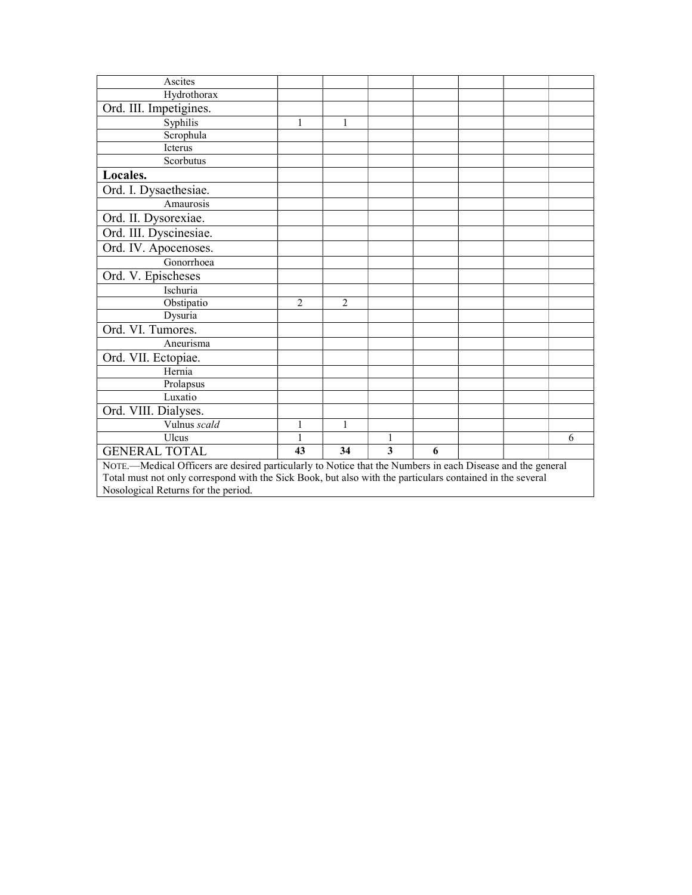| Ascites                                                                                                    |                |                |   |   |  |  |   |
|------------------------------------------------------------------------------------------------------------|----------------|----------------|---|---|--|--|---|
| Hydrothorax                                                                                                |                |                |   |   |  |  |   |
| Ord. III. Impetigines.                                                                                     |                |                |   |   |  |  |   |
| Syphilis                                                                                                   | 1              | 1              |   |   |  |  |   |
| Scrophula                                                                                                  |                |                |   |   |  |  |   |
| Icterus                                                                                                    |                |                |   |   |  |  |   |
| Scorbutus                                                                                                  |                |                |   |   |  |  |   |
| Locales.                                                                                                   |                |                |   |   |  |  |   |
| Ord. I. Dysaethesiae.                                                                                      |                |                |   |   |  |  |   |
| Amaurosis                                                                                                  |                |                |   |   |  |  |   |
| Ord. II. Dysorexiae.                                                                                       |                |                |   |   |  |  |   |
| Ord. III. Dyscinesiae.                                                                                     |                |                |   |   |  |  |   |
| Ord. IV. Apocenoses.                                                                                       |                |                |   |   |  |  |   |
| Gonorrhoea                                                                                                 |                |                |   |   |  |  |   |
| Ord. V. Epischeses                                                                                         |                |                |   |   |  |  |   |
| Ischuria                                                                                                   |                |                |   |   |  |  |   |
| Obstipatio                                                                                                 | $\overline{2}$ | $\overline{2}$ |   |   |  |  |   |
| Dysuria                                                                                                    |                |                |   |   |  |  |   |
| Ord. VI. Tumores.                                                                                          |                |                |   |   |  |  |   |
| Aneurisma                                                                                                  |                |                |   |   |  |  |   |
| Ord. VII. Ectopiae.                                                                                        |                |                |   |   |  |  |   |
| Hernia                                                                                                     |                |                |   |   |  |  |   |
| Prolapsus                                                                                                  |                |                |   |   |  |  |   |
| Luxatio                                                                                                    |                |                |   |   |  |  |   |
| Ord. VIII. Dialyses.                                                                                       |                |                |   |   |  |  |   |
| Vulnus scald                                                                                               | 1              | 1              |   |   |  |  |   |
| Ulcus                                                                                                      | 1              |                | 1 |   |  |  | 6 |
| <b>GENERAL TOTAL</b>                                                                                       | 43             | 34             | 3 | 6 |  |  |   |
| NOTE.—Medical Officers are desired particularly to Notice that the Numbers in each Disease and the general |                |                |   |   |  |  |   |
| Total must not only correspond with the Sick Book, but also with the particulars contained in the several  |                |                |   |   |  |  |   |
| Nosological Returns for the period.                                                                        |                |                |   |   |  |  |   |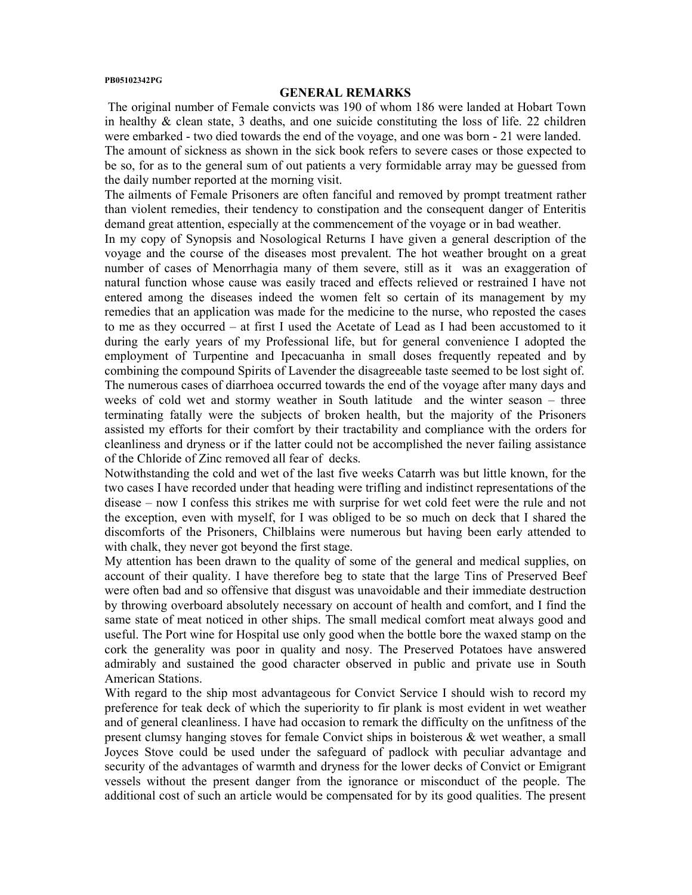#### PB05102342PG

#### GENERAL REMARKS

 The original number of Female convicts was 190 of whom 186 were landed at Hobart Town in healthy  $\&$  clean state, 3 deaths, and one suicide constituting the loss of life. 22 children were embarked - two died towards the end of the voyage, and one was born - 21 were landed. The amount of sickness as shown in the sick book refers to severe cases or those expected to be so, for as to the general sum of out patients a very formidable array may be guessed from the daily number reported at the morning visit.

The ailments of Female Prisoners are often fanciful and removed by prompt treatment rather than violent remedies, their tendency to constipation and the consequent danger of Enteritis demand great attention, especially at the commencement of the voyage or in bad weather.

In my copy of Synopsis and Nosological Returns I have given a general description of the voyage and the course of the diseases most prevalent. The hot weather brought on a great number of cases of Menorrhagia many of them severe, still as it was an exaggeration of natural function whose cause was easily traced and effects relieved or restrained I have not entered among the diseases indeed the women felt so certain of its management by my remedies that an application was made for the medicine to the nurse, who reposted the cases to me as they occurred – at first I used the Acetate of Lead as I had been accustomed to it during the early years of my Professional life, but for general convenience I adopted the employment of Turpentine and Ipecacuanha in small doses frequently repeated and by combining the compound Spirits of Lavender the disagreeable taste seemed to be lost sight of. The numerous cases of diarrhoea occurred towards the end of the voyage after many days and weeks of cold wet and stormy weather in South latitude and the winter season – three terminating fatally were the subjects of broken health, but the majority of the Prisoners assisted my efforts for their comfort by their tractability and compliance with the orders for cleanliness and dryness or if the latter could not be accomplished the never failing assistance of the Chloride of Zinc removed all fear of decks.

Notwithstanding the cold and wet of the last five weeks Catarrh was but little known, for the two cases I have recorded under that heading were trifling and indistinct representations of the disease – now I confess this strikes me with surprise for wet cold feet were the rule and not the exception, even with myself, for I was obliged to be so much on deck that I shared the discomforts of the Prisoners, Chilblains were numerous but having been early attended to with chalk, they never got beyond the first stage.

My attention has been drawn to the quality of some of the general and medical supplies, on account of their quality. I have therefore beg to state that the large Tins of Preserved Beef were often bad and so offensive that disgust was unavoidable and their immediate destruction by throwing overboard absolutely necessary on account of health and comfort, and I find the same state of meat noticed in other ships. The small medical comfort meat always good and useful. The Port wine for Hospital use only good when the bottle bore the waxed stamp on the cork the generality was poor in quality and nosy. The Preserved Potatoes have answered admirably and sustained the good character observed in public and private use in South American Stations.

With regard to the ship most advantageous for Convict Service I should wish to record my preference for teak deck of which the superiority to fir plank is most evident in wet weather and of general cleanliness. I have had occasion to remark the difficulty on the unfitness of the present clumsy hanging stoves for female Convict ships in boisterous & wet weather, a small Joyces Stove could be used under the safeguard of padlock with peculiar advantage and security of the advantages of warmth and dryness for the lower decks of Convict or Emigrant vessels without the present danger from the ignorance or misconduct of the people. The additional cost of such an article would be compensated for by its good qualities. The present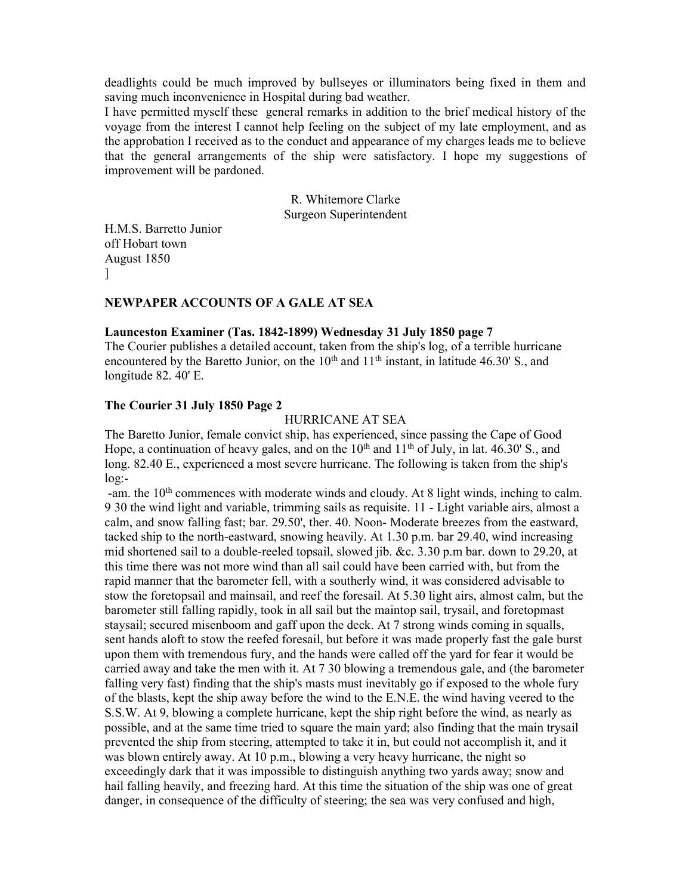deadlights could be much improved by bullseyes or illuminators being fixed in them and saving much inconvenience in Hospital during bad weather.

I have permitted myself these general remarks in addition to the brief medical history of the voyage from the interest I cannot help feeling on the subject of my late employment, and as the approbation I received as to the conduct and appearance of my charges leads me to believe that the general arrangements of the ship were satisfactory. I hope my suggestions of improvement will be pardoned.

> R. Whitemore Clarke Surgeon Superintendent

H.M.S. Barretto Junior off Hobart town August 1850 ]

#### NEWPAPER ACCOUNTS OF A GALE AT SEA

### Launceston Examiner (Tas. 1842-1899) Wednesday 31 July 1850 page 7

The Courier publishes a detailed account, taken from the ship's log, of a terrible hurricane encountered by the Baretto Junior, on the  $10<sup>th</sup>$  and  $11<sup>th</sup>$  instant, in latitude 46.30' S., and longitude 82. 40' E.

### The Courier 31 July 1850 Page 2

#### HURRICANE AT SEA

The Baretto Junior, female convict ship, has experienced, since passing the Cape of Good Hope, a continuation of heavy gales, and on the  $10<sup>th</sup>$  and  $11<sup>th</sup>$  of July, in lat. 46.30' S., and long. 82.40 E., experienced a most severe hurricane. The following is taken from the ship's log:-

-am. the 10<sup>th</sup> commences with moderate winds and cloudy. At 8 light winds, inching to calm. 9 30 the wind light and variable, trimming sails as requisite. 11 - Light variable airs, almost a calm, and snow falling fast; bar. 29.50', ther. 40. Noon- Moderate breezes from the eastward, tacked ship to the north-eastward, snowing heavily. At 1.30 p.m. bar 29.40, wind increasing mid shortened sail to a double-reeled topsail, slowed jib. &c. 3.30 p.m bar. down to 29.20, at this time there was not more wind than all sail could have been carried with, but from the rapid manner that the barometer fell, with a southerly wind, it was considered advisable to stow the foretopsail and mainsail, and reef the foresail. At 5.30 light airs, almost calm, but the barometer still falling rapidly, took in all sail but the maintop sail, trysail, and foretopmast staysail; secured misenboom and gaff upon the deck. At 7 strong winds coming in squalls, sent hands aloft to stow the reefed foresail, but before it was made properly fast the gale burst upon them with tremendous fury, and the hands were called off the yard for fear it would be carried away and take the men with it. At 7 30 blowing a tremendous gale, and (the barometer falling very fast) finding that the ship's masts must inevitably go if exposed to the whole fury of the blasts, kept the ship away before the wind to the E.N.E. the wind having veered to the S.S.W. At 9, blowing a complete hurricane, kept the ship right before the wind, as nearly as possible, and at the same time tried to square the main yard; also finding that the main trysail prevented the ship from steering, attempted to take it in, but could not accomplish it, and it was blown entirely away. At 10 p.m., blowing a very heavy hurricane, the night so exceedingly dark that it was impossible to distinguish anything two yards away; snow and hail falling heavily, and freezing hard. At this time the situation of the ship was one of great danger, in consequence of the difficulty of steering; the sea was very confused and high,